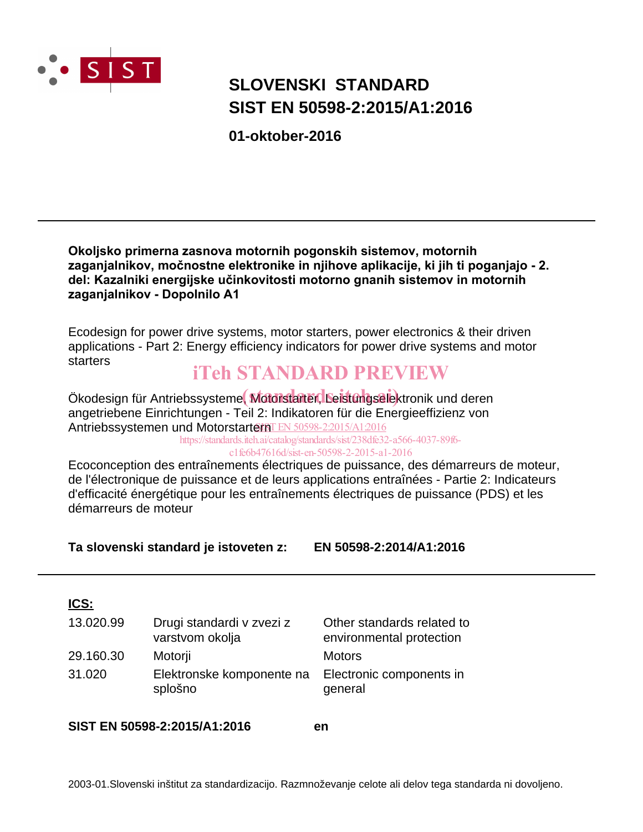

# **SIST EN 50598-2:2015/A1:2016 SLOVENSKI STANDARD**

**01-oktober-2016**

Okoljsko primerna zasnova motornih pogonskih sistemov, motornih zaganjalnikov, močnostne elektronike in njihove aplikacije, ki jih ti poganjajo - 2. del: Kazalniki energijske učinkovitosti motorno gnanih sistemov in motornih zaganjalnikov - Dopolnilo A1

Ecodesign for power drive systems, motor starters, power electronics & their driven applications - Part 2: Energy efficiency indicators for power drive systems and motor starters

## iTeh STANDARD PREVIEW

Ökodesign für Antriebssysteme<mark>( Motorstarter, Leistun</mark>gselektronik und deren angetriebene Einrichtungen - Teil 2: Indikatoren für die Energieeffizienz von Antriebssystemen und Motorstartern EN 50598-2:2015/A1:2016

https://standards.iteh.ai/catalog/standards/sist/238dfe32-a566-4037-89f6 c1fe6b47616d/sist-en-50598-2-2015-a1-2016

Ecoconception des entraînements électriques de puissance, des démarreurs de moteur, de l'électronique de puissance et de leurs applications entraînées - Partie 2: Indicateurs d'efficacité énergétique pour les entraînements électriques de puissance (PDS) et les démarreurs de moteur

**Ta slovenski standard je istoveten z: EN 50598-2:2014/A1:2016**

## **ICS:**

| 13.020.99 | Drugi standardi v zvezi z<br>varstvom okolja | Other standards related to<br>environmental protection |
|-----------|----------------------------------------------|--------------------------------------------------------|
| 29.160.30 | Motorji                                      | <b>Motors</b>                                          |
| 31.020    | Elektronske komponente na<br>splošno         | Electronic components in<br>general                    |

**SIST EN 50598-2:2015/A1:2016 en**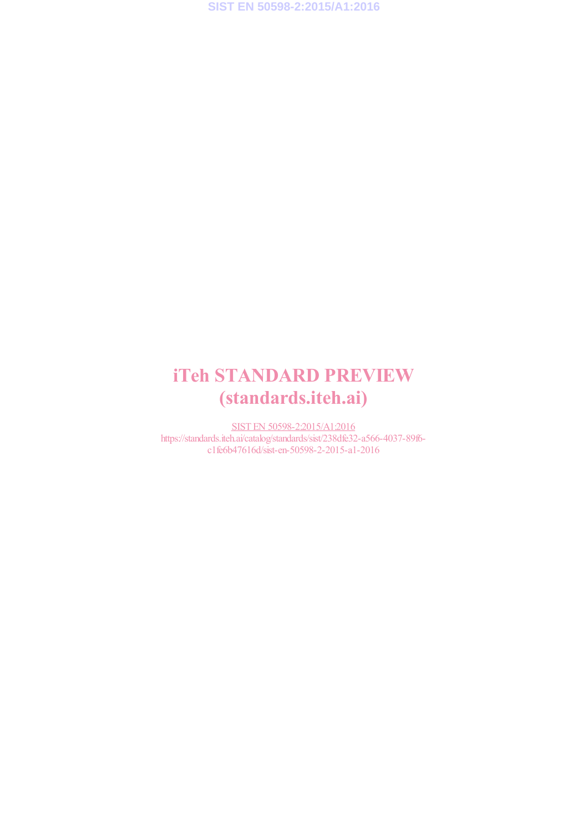# iTeh STANDARD PREVIEW (standards.iteh.ai)

SIST EN 50598-2:2015/A1:2016 https://standards.iteh.ai/catalog/standards/sist/238dfe32-a566-4037-89f6 c1fe6b47616d/sist-en-50598-2-2015-a1-2016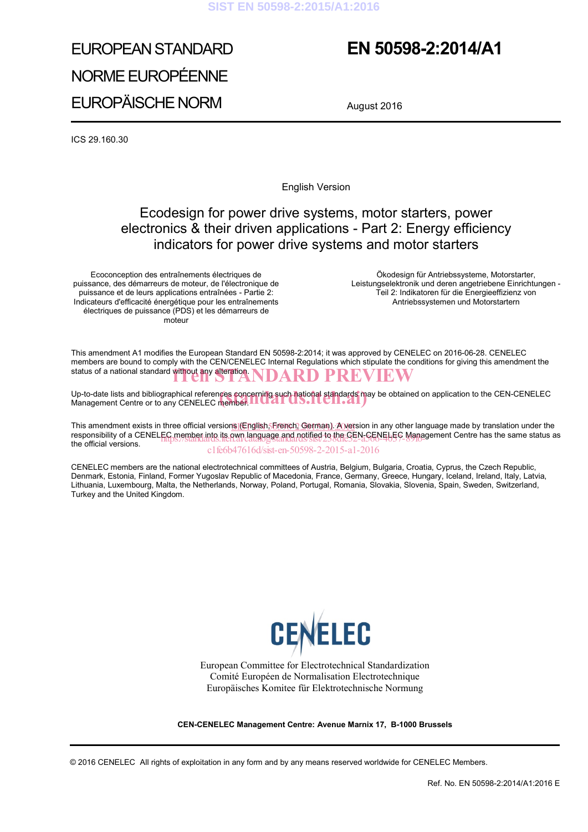# EUROPEAN STANDARD NORME EUROPÉENNE EUROPÄISCHE NORM

## **EN 50598-2:2014/A1**

August 2016

ICS 29.160.30

English Version

## Ecodesign for power drive systems, motor starters, power electronics & their driven applications - Part 2: Energy efficiency indicators for power drive systems and motor starters

Ecoconception des entraînements électriques de puissance, des démarreurs de moteur, de l'électronique de puissance et de leurs applications entraînées - Partie 2: Indicateurs d'efficacité énergétique pour les entraînements électriques de puissance (PDS) et les démarreurs de moteur

Ökodesign für Antriebssysteme, Motorstarter, Leistungselektronik und deren angetriebene Einrichtungen - Teil 2: Indikatoren für die Energieeffizienz von Antriebssystemen und Motorstartern

This amendment A1 modifies the European Standard EN 50598-2:2014; it was approved by CENELEC on 2016-06-28. CENELEC members are bound to comply with the CEN/CENELEC Internal Regulations which stipulate the conditions for giving this amendment the status of a national standard without any alteration.  $\bf NDARD\ PREVIEW$ 

Up-to-date lists and bibliographical references concerning such national standards may be obtained on application to the CEN-CENELEC Up-to-date lists and bibliographical references concerning such national standards material material material material material material material material material material material material material material material mate

This amendment exists in three official versions (English 5 French). German). A version in any other language made by translation under the responsibility of a CENELEC member into its own language and notified to the CEN-CENELEC Management Centre has the same status as<br>the official versions the official versions. c1fe6b47616d/sist-en-50598-2-2015-a1-2016

CENELEC members are the national electrotechnical committees of Austria, Belgium, Bulgaria, Croatia, Cyprus, the Czech Republic, Denmark, Estonia, Finland, Former Yugoslav Republic of Macedonia, France, Germany, Greece, Hungary, Iceland, Ireland, Italy, Latvia, Lithuania, Luxembourg, Malta, the Netherlands, Norway, Poland, Portugal, Romania, Slovakia, Slovenia, Spain, Sweden, Switzerland, Turkey and the United Kingdom.



European Committee for Electrotechnical Standardization Comité Européen de Normalisation Electrotechnique Europäisches Komitee für Elektrotechnische Normung

**CEN-CENELEC Management Centre: Avenue Marnix 17, B-1000 Brussels**

© 2016 CENELEC All rights of exploitation in any form and by any means reserved worldwide for CENELEC Members.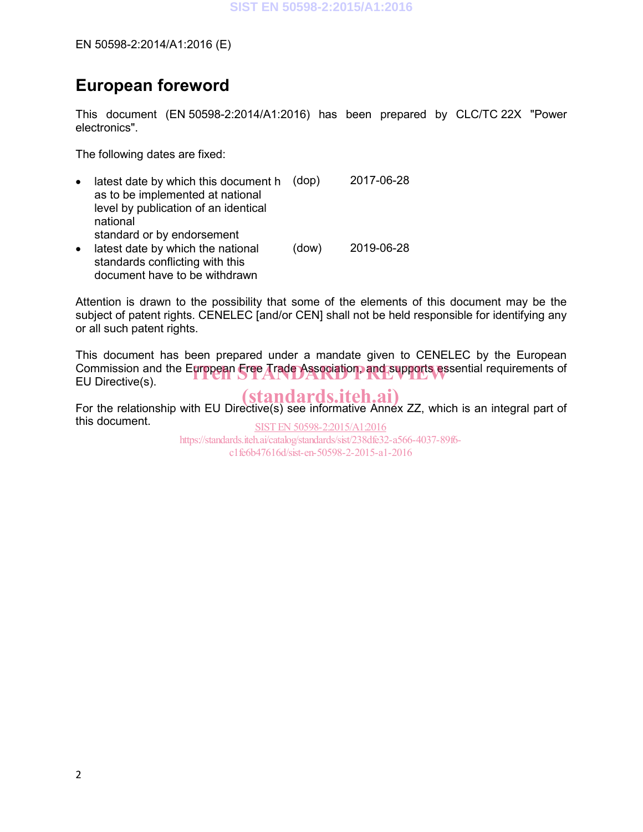EN 50598-2:2014/A1:2016 (E)

## **European foreword**

This document (EN 50598-2:2014/A1:2016) has been prepared by CLC/TC 22X "Power electronics".

The following dates are fixed:

| $\bullet$ | latest date by which this document h<br>as to be implemented at national<br>level by publication of an identical<br>national        | (dop) | 2017-06-28 |
|-----------|-------------------------------------------------------------------------------------------------------------------------------------|-------|------------|
| $\bullet$ | standard or by endorsement<br>latest date by which the national<br>standards conflicting with this<br>document have to be withdrawn | (dow) | 2019-06-28 |

Attention is drawn to the possibility that some of the elements of this document may be the subject of patent rights. CENELEC [and/or CEN] shall not be held responsible for identifying any or all such patent rights.

This document has been prepared under a mandate given to CENELEC by the European Commission and the European Free Trade Association, and supports essential requirements of<br>EU Directive(s) EU Directive(s).

For the relationship with EU Directive(s) see informative Annex ZZ, which is an integral part of this document. SIST EN 50598-2:2015/A1:2016

https://standards.iteh.ai/catalog/standards/sist/238dfe32-a566-4037-89f6 c1fe6b47616d/sist-en-50598-2-2015-a1-2016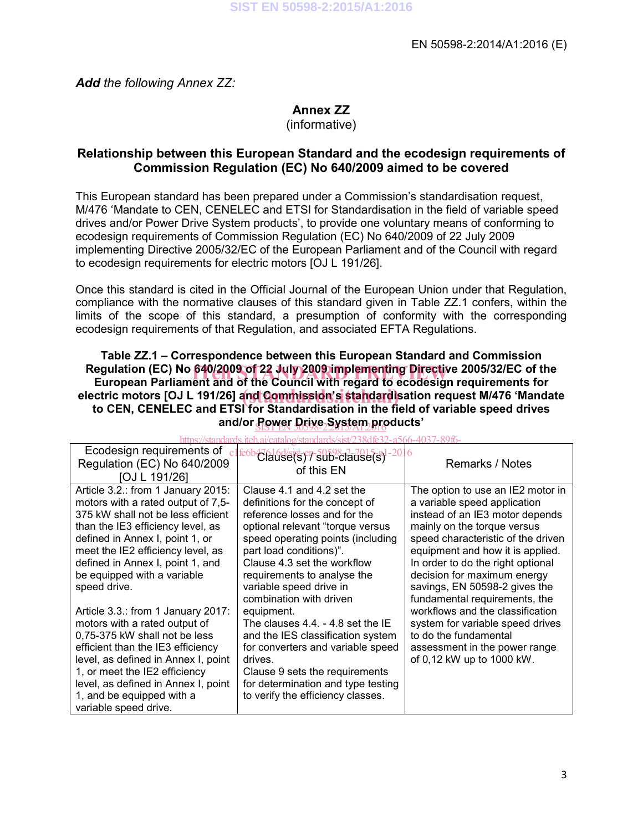*Add the following Annex ZZ:*

### **Annex ZZ**

(informative)

#### **Relationship between this European Standard and the ecodesign requirements of Commission Regulation (EC) No 640/2009 aimed to be covered**

This European standard has been prepared under a Commission's standardisation request, M/476 'Mandate to CEN, CENELEC and ETSI for Standardisation in the field of variable speed drives and/or Power Drive System products', to provide one voluntary means of conforming to ecodesign requirements of Commission Regulation (EC) No 640/2009 of 22 July 2009 implementing Directive 2005/32/EC of the European Parliament and of the Council with regard to ecodesign requirements for electric motors [OJ L 191/26].

Once this standard is cited in the Official Journal of the European Union under that Regulation, compliance with the normative clauses of this standard given in Table ZZ.1 confers, within the limits of the scope of this standard, a presumption of conformity with the corresponding ecodesign requirements of that Regulation, and associated EFTA Regulations.

#### **Table ZZ.1 – Correspondence between this European Standard and Commission**  Regulation (EC) No 640/2009 of 22 July 2009 implementing Directive 2005/32/EC of the<br>Furopean Parliament and of the Council with regard to ecodesign requirements for **European Parliament and of the Council with regard to ecodesign requirements for**  electric motors [OJ L 191/26] and Commission's standard sation request M/476 'Mandate <br>fo CEN, CENELEC and ETSL for Standardiation in the field of variable apoed drives **to CEN, CENELEC and ETSI for Standardisation in the field of variable speed drives**  and/or <u>Power Drive System pr</u>oducts'

| Ecodesign requirements of<br>Regulation (EC) No 640/2009<br>[OJ L 191/26]                                                                                                                                                                                                                                                                                                                                                                                                                                                                                                                               | fe6b276169/sist-en-50598-2-2015-31-2016<br>of this EN                                                                                                                                                                                                                                                                                                                                                                                                                                                                                                                       | Remarks / Notes                                                                                                                                                                                                                                                                                                                                                                                                                                                                                                    |
|---------------------------------------------------------------------------------------------------------------------------------------------------------------------------------------------------------------------------------------------------------------------------------------------------------------------------------------------------------------------------------------------------------------------------------------------------------------------------------------------------------------------------------------------------------------------------------------------------------|-----------------------------------------------------------------------------------------------------------------------------------------------------------------------------------------------------------------------------------------------------------------------------------------------------------------------------------------------------------------------------------------------------------------------------------------------------------------------------------------------------------------------------------------------------------------------------|--------------------------------------------------------------------------------------------------------------------------------------------------------------------------------------------------------------------------------------------------------------------------------------------------------------------------------------------------------------------------------------------------------------------------------------------------------------------------------------------------------------------|
| Article 3.2.: from 1 January 2015:<br>motors with a rated output of 7,5-<br>375 kW shall not be less efficient<br>than the IE3 efficiency level, as<br>defined in Annex I, point 1, or<br>meet the IE2 efficiency level, as<br>defined in Annex I, point 1, and<br>be equipped with a variable<br>speed drive.<br>Article 3.3.: from 1 January 2017:<br>motors with a rated output of<br>0,75-375 kW shall not be less<br>efficient than the IE3 efficiency<br>level, as defined in Annex I, point<br>1, or meet the IE2 efficiency<br>level, as defined in Annex I, point<br>1, and be equipped with a | Clause 4.1 and 4.2 set the<br>definitions for the concept of<br>reference losses and for the<br>optional relevant "torque versus<br>speed operating points (including<br>part load conditions)".<br>Clause 4.3 set the workflow<br>requirements to analyse the<br>variable speed drive in<br>combination with driven<br>equipment.<br>The clauses $4.4. - 4.8$ set the IE<br>and the IES classification system<br>for converters and variable speed<br>drives.<br>Clause 9 sets the requirements<br>for determination and type testing<br>to verify the efficiency classes. | The option to use an IE2 motor in<br>a variable speed application<br>instead of an IE3 motor depends<br>mainly on the torque versus<br>speed characteristic of the driven<br>equipment and how it is applied.<br>In order to do the right optional<br>decision for maximum energy<br>savings, EN 50598-2 gives the<br>fundamental requirements, the<br>workflows and the classification<br>system for variable speed drives<br>to do the fundamental<br>assessment in the power range<br>of 0,12 kW up to 1000 kW. |
| variable speed drive.                                                                                                                                                                                                                                                                                                                                                                                                                                                                                                                                                                                   |                                                                                                                                                                                                                                                                                                                                                                                                                                                                                                                                                                             |                                                                                                                                                                                                                                                                                                                                                                                                                                                                                                                    |

https://standards.iteh.ai/catalog/standards/sist/238dfe32-a566-4037-89f6-